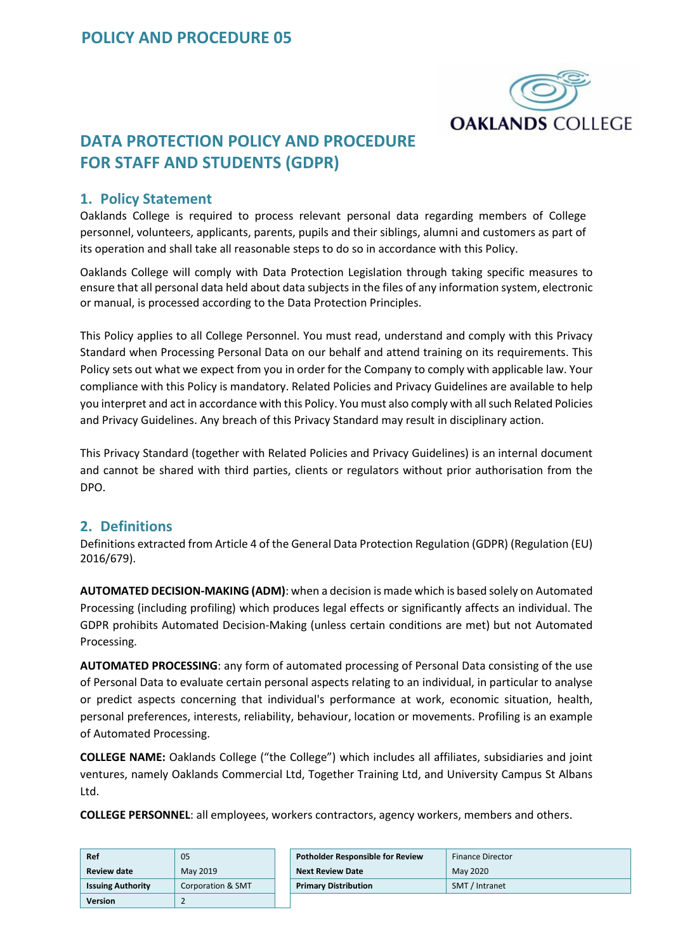

# **DATA PROTECTION POLICY AND PROCEDURE FOR STAFF AND STUDENTS (GDPR)**

#### **1. Policy Statement**

Oaklands College is required to process relevant personal data regarding members of College personnel, volunteers, applicants, parents, pupils and their siblings, alumni and customers as part of its operation and shall take all reasonable steps to do so in accordance with this Policy.

Oaklands College will comply with Data Protection Legislation through taking specific measures to ensure that all personal data held about data subjects in the files of any information system, electronic or manual, is processed according to the Data Protection Principles.

This Policy applies to all College Personnel. You must read, understand and comply with this Privacy Standard when Processing Personal Data on our behalf and attend training on its requirements. This Policy sets out what we expect from you in order for the Company to comply with applicable law. Your compliance with this Policy is mandatory. Related Policies and Privacy Guidelines are available to help you interpret and act in accordance with this Policy. You must also comply with all such Related Policies and Privacy Guidelines. Any breach of this Privacy Standard may result in disciplinary action.

This Privacy Standard (together with Related Policies and Privacy Guidelines) is an internal document and cannot be shared with third parties, clients or regulators without prior authorisation from the DPO.

#### **2. Definitions**

Definitions extracted from Article 4 of the General Data Protection Regulation (GDPR) (Regulation (EU) 2016/679).

**AUTOMATED DECISION-MAKING (ADM)**: when a decision is made which is based solely on Automated Processing (including profiling) which produces legal effects or significantly affects an individual. The GDPR prohibits Automated Decision-Making (unless certain conditions are met) but not Automated Processing.

**AUTOMATED PROCESSING**: any form of automated processing of Personal Data consisting of the use of Personal Data to evaluate certain personal aspects relating to an individual, in particular to analyse or predict aspects concerning that individual's performance at work, economic situation, health, personal preferences, interests, reliability, behaviour, location or movements. Profiling is an example of Automated Processing.

**COLLEGE NAME:** Oaklands College ("the College") which includes all affiliates, subsidiaries and joint ventures, namely Oaklands Commercial Ltd, Together Training Ltd, and University Campus St Albans Ltd.

**COLLEGE PERSONNEL**: all employees, workers contractors, agency workers, members and others.

| Ref                      | 05                | <b>Potholder Responsible for Review</b> | <b>Finance Director</b> |
|--------------------------|-------------------|-----------------------------------------|-------------------------|
| Review date              | May 2019          | <b>Next Review Date</b>                 | May 2020                |
| <b>Issuing Authority</b> | Corporation & SMT | <b>Primary Distribution</b>             | SMT / Intranet          |
| <b>Version</b>           |                   |                                         |                         |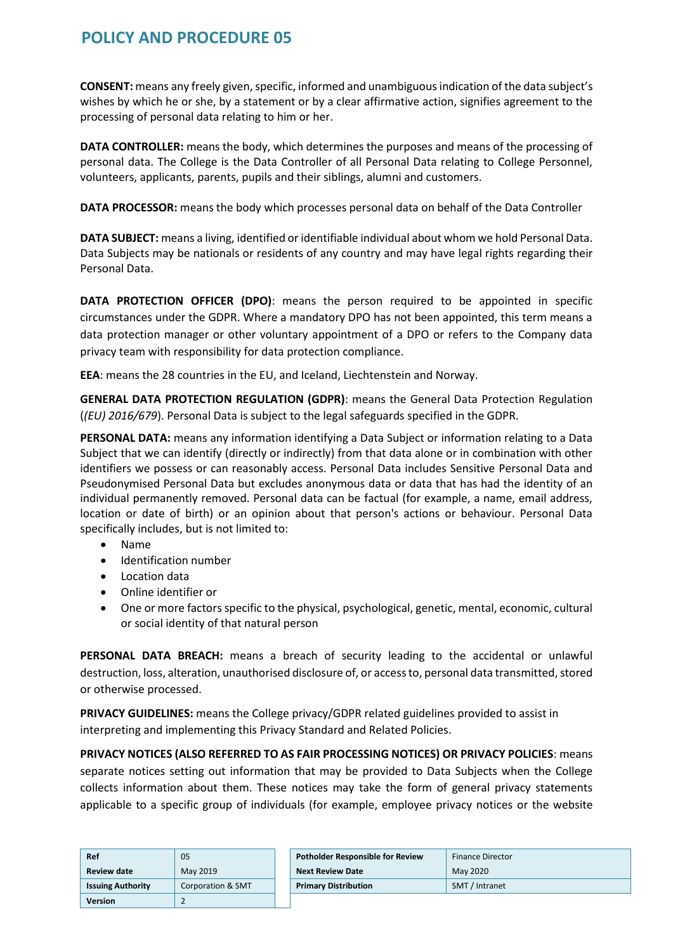**CONSENT:** means any freely given, specific, informed and unambiguous indication of the data subject's wishes by which he or she, by a statement or by a clear affirmative action, signifies agreement to the processing of personal data relating to him or her.

**DATA CONTROLLER:** means the body, which determines the purposes and means of the processing of personal data. The College is the Data Controller of all Personal Data relating to College Personnel, volunteers, applicants, parents, pupils and their siblings, alumni and customers.

**DATA PROCESSOR:** means the body which processes personal data on behalf of the Data Controller

**DATA SUBJECT:** means a living, identified or identifiable individual about whom we hold Personal Data. Data Subjects may be nationals or residents of any country and may have legal rights regarding their Personal Data.

**DATA PROTECTION OFFICER (DPO)**: means the person required to be appointed in specific circumstances under the GDPR. Where a mandatory DPO has not been appointed, this term means a data protection manager or other voluntary appointment of a DPO or refers to the Company data privacy team with responsibility for data protection compliance.

**EEA**: means the 28 countries in the EU, and Iceland, Liechtenstein and Norway.

**GENERAL DATA PROTECTION REGULATION (GDPR)**: means the General Data Protection Regulation (*(EU) 2016/679*). Personal Data is subject to the legal safeguards specified in the GDPR.

**PERSONAL DATA:** means any information identifying a Data Subject or information relating to a Data Subject that we can identify (directly or indirectly) from that data alone or in combination with other identifiers we possess or can reasonably access. Personal Data includes Sensitive Personal Data and Pseudonymised Personal Data but excludes anonymous data or data that has had the identity of an individual permanently removed. Personal data can be factual (for example, a name, email address, location or date of birth) or an opinion about that person's actions or behaviour. Personal Data specifically includes, but is not limited to:

- Name
- Identification number
- Location data
- Online identifier or
- One or more factors specific to the physical, psychological, genetic, mental, economic, cultural or social identity of that natural person

**PERSONAL DATA BREACH:** means a breach of security leading to the accidental or unlawful destruction, loss, alteration, unauthorised disclosure of, or access to, personal data transmitted, stored or otherwise processed.

**PRIVACY GUIDELINES:** means the College privacy/GDPR related guidelines provided to assist in interpreting and implementing this Privacy Standard and Related Policies.

**PRIVACY NOTICES (ALSO REFERRED TO AS FAIR PROCESSING NOTICES) OR PRIVACY POLICIES**: means separate notices setting out information that may be provided to Data Subjects when the College collects information about them. These notices may take the form of general privacy statements applicable to a specific group of individuals (for example, employee privacy notices or the website

| Ref                      | 05                | <b>Potholder Responsible for Review</b> | <b>Finance Director</b> |
|--------------------------|-------------------|-----------------------------------------|-------------------------|
| <b>Review date</b>       | May 2019          | <b>Next Review Date</b>                 | May 2020                |
| <b>Issuing Authority</b> | Corporation & SMT | <b>Primary Distribution</b>             | SMT / Intranet          |
| <b>Version</b>           |                   |                                         |                         |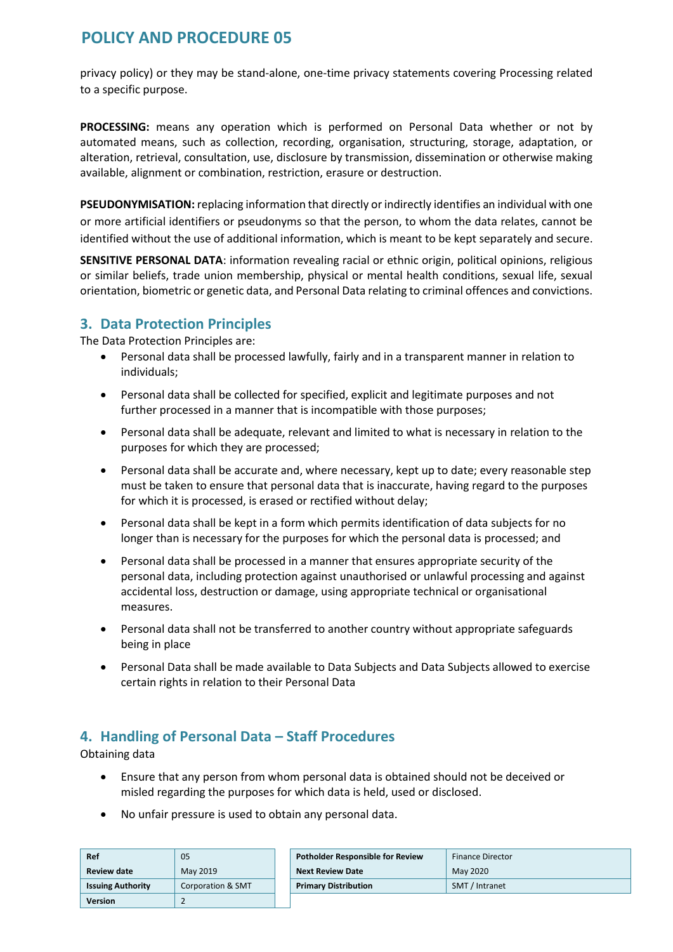privacy policy) or they may be stand-alone, one-time privacy statements covering Processing related to a specific purpose.

**PROCESSING:** means any operation which is performed on Personal Data whether or not by automated means, such as collection, recording, organisation, structuring, storage, adaptation, or alteration, retrieval, consultation, use, disclosure by transmission, dissemination or otherwise making available, alignment or combination, restriction, erasure or destruction.

**PSEUDONYMISATION:** replacing information that directly or indirectly identifies an individual with one or more artificial identifiers or pseudonyms so that the person, to whom the data relates, cannot be identified without the use of additional information, which is meant to be kept separately and secure.

**SENSITIVE PERSONAL DATA**: information revealing racial or ethnic origin, political opinions, religious or similar beliefs, trade union membership, physical or mental health conditions, sexual life, sexual orientation, biometric or genetic data, and Personal Data relating to criminal offences and convictions.

### **3. Data Protection Principles**

The Data Protection Principles are:

- Personal data shall be processed lawfully, fairly and in a transparent manner in relation to individuals;
- Personal data shall be collected for specified, explicit and legitimate purposes and not further processed in a manner that is incompatible with those purposes;
- Personal data shall be adequate, relevant and limited to what is necessary in relation to the purposes for which they are processed;
- Personal data shall be accurate and, where necessary, kept up to date; every reasonable step must be taken to ensure that personal data that is inaccurate, having regard to the purposes for which it is processed, is erased or rectified without delay;
- Personal data shall be kept in a form which permits identification of data subjects for no longer than is necessary for the purposes for which the personal data is processed; and
- Personal data shall be processed in a manner that ensures appropriate security of the personal data, including protection against unauthorised or unlawful processing and against accidental loss, destruction or damage, using appropriate technical or organisational measures.
- Personal data shall not be transferred to another country without appropriate safeguards being in place
- Personal Data shall be made available to Data Subjects and Data Subjects allowed to exercise certain rights in relation to their Personal Data

### **4. Handling of Personal Data – Staff Procedures**

Obtaining data

- Ensure that any person from whom personal data is obtained should not be deceived or misled regarding the purposes for which data is held, used or disclosed.
- No unfair pressure is used to obtain any personal data.

| Ref                      | 05                | <b>Potholder Responsible for Review</b> | <b>Finance Director</b> |
|--------------------------|-------------------|-----------------------------------------|-------------------------|
| <b>Review date</b>       | May 2019          | <b>Next Review Date</b>                 | May 2020                |
| <b>Issuing Authority</b> | Corporation & SMT | <b>Primary Distribution</b>             | SMT / Intranet          |
| <b>Version</b>           |                   |                                         |                         |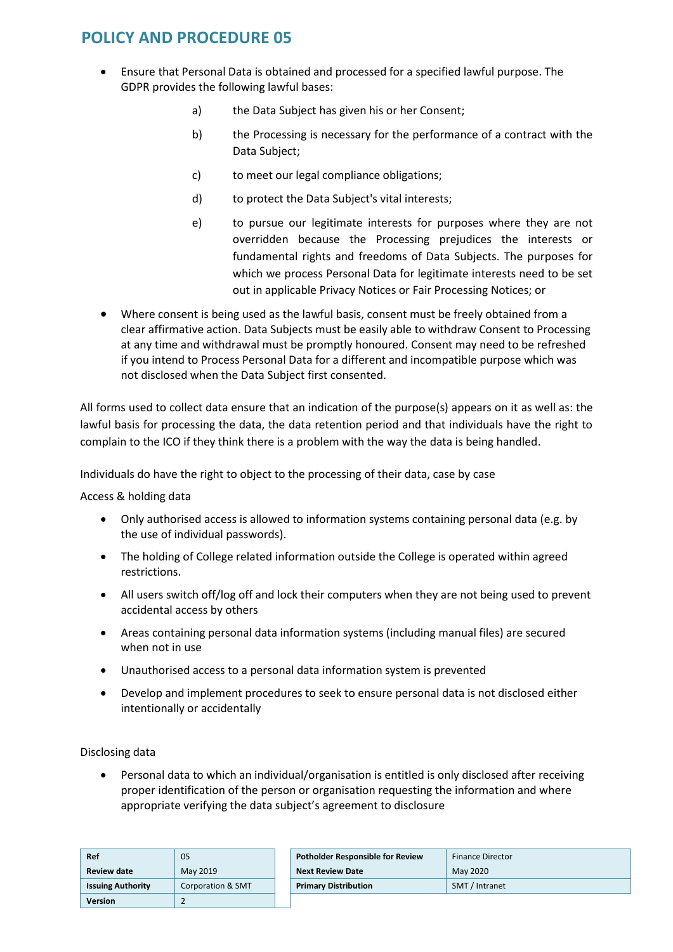- Ensure that Personal Data is obtained and processed for a specified lawful purpose. The GDPR provides the following lawful bases:
	- a) the Data Subject has given his or her Consent;
	- b) the Processing is necessary for the performance of a contract with the Data Subject;
	- c) to meet our legal compliance obligations;
	- d) to protect the Data Subject's vital interests;
	- e) to pursue our legitimate interests for purposes where they are not overridden because the Processing prejudices the interests or fundamental rights and freedoms of Data Subjects. The purposes for which we process Personal Data for legitimate interests need to be set out in applicable Privacy Notices or Fair Processing Notices; or
- Where consent is being used as the lawful basis, consent must be freely obtained from a clear affirmative action. Data Subjects must be easily able to withdraw Consent to Processing at any time and withdrawal must be promptly honoured. Consent may need to be refreshed if you intend to Process Personal Data for a different and incompatible purpose which was not disclosed when the Data Subject first consented.

All forms used to collect data ensure that an indication of the purpose(s) appears on it as well as: the lawful basis for processing the data, the data retention period and that individuals have the right to complain to the ICO if they think there is a problem with the way the data is being handled.

Individuals do have the right to object to the processing of their data, case by case

Access & holding data

- Only authorised access is allowed to information systems containing personal data (e.g. by the use of individual passwords).
- The holding of College related information outside the College is operated within agreed restrictions.
- All users switch off/log off and lock their computers when they are not being used to prevent accidental access by others
- Areas containing personal data information systems (including manual files) are secured when not in use
- Unauthorised access to a personal data information system is prevented
- Develop and implement procedures to seek to ensure personal data is not disclosed either intentionally or accidentally

Disclosing data

 Personal data to which an individual/organisation is entitled is only disclosed after receiving proper identification of the person or organisation requesting the information and where appropriate verifying the data subject's agreement to disclosure

| Ref                      | 05                | <b>Potholder Responsible for Review</b> | <b>Finance Director</b> |
|--------------------------|-------------------|-----------------------------------------|-------------------------|
| <b>Review date</b>       | May 2019          | <b>Next Review Date</b>                 | May 2020                |
| <b>Issuing Authority</b> | Corporation & SMT | <b>Primary Distribution</b>             | SMT / Intranet          |
| <b>Version</b>           |                   |                                         |                         |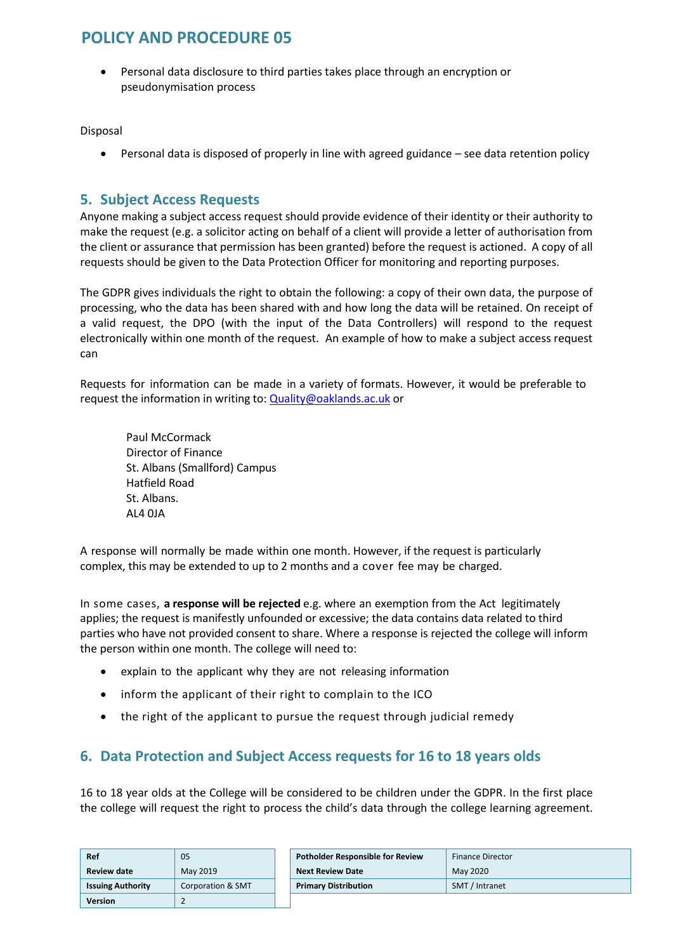Personal data disclosure to third parties takes place through an encryption or pseudonymisation process

Disposal

Personal data is disposed of properly in line with agreed guidance – see data retention policy

#### **5. Subject Access Requests**

Anyone making a subject access request should provide evidence of their identity or their authority to make the request (e.g. a solicitor acting on behalf of a client will provide a letter of authorisation from the client or assurance that permission has been granted) before the request is actioned. A copy of all requests should be given to the Data Protection Officer for monitoring and reporting purposes.

The GDPR gives individuals the right to obtain the following: a copy of their own data, the purpose of processing, who the data has been shared with and how long the data will be retained. On receipt of a valid request, the DPO (with the input of the Data Controllers) will respond to the request electronically within one month of the request. An example of how to make a subject access request can

Requests for information can be made in a variety of formats. However, it would be preferable to request the information in writing to[: Quality@oaklands.ac.uk o](mailto:Quality@oaklands.ac.uk)r

Paul McCormack Director of Finance St. Albans (Smallford) Campus Hatfield Road St. Albans. AL4 0JA

A response will normally be made within one month. However, if the request is particularly complex, this may be extended to up to 2 months and a cover fee may be charged.

In some cases, **a response will be rejected** e.g. where an exemption from the Act legitimately applies; the request is manifestly unfounded or excessive; the data contains data related to third parties who have not provided consent to share. Where a response is rejected the college will inform the person within one month. The college will need to:

- explain to the applicant why they are not releasing information
- inform the applicant of their right to complain to the ICO
- the right of the applicant to pursue the request through judicial remedy

### **6. Data Protection and Subject Access requests for 16 to 18 years olds**

16 to 18 year olds at the College will be considered to be children under the GDPR. In the first place the college will request the right to process the child's data through the college learning agreement.

| Ref<br>05                |                   | <b>Potholder Responsible for Review</b> | <b>Finance Director</b> |
|--------------------------|-------------------|-----------------------------------------|-------------------------|
| <b>Review date</b>       | May 2019          | <b>Next Review Date</b>                 | May 2020                |
| <b>Issuing Authority</b> | Corporation & SMT | <b>Primary Distribution</b>             | SMT / Intranet          |
| <b>Version</b>           |                   |                                         |                         |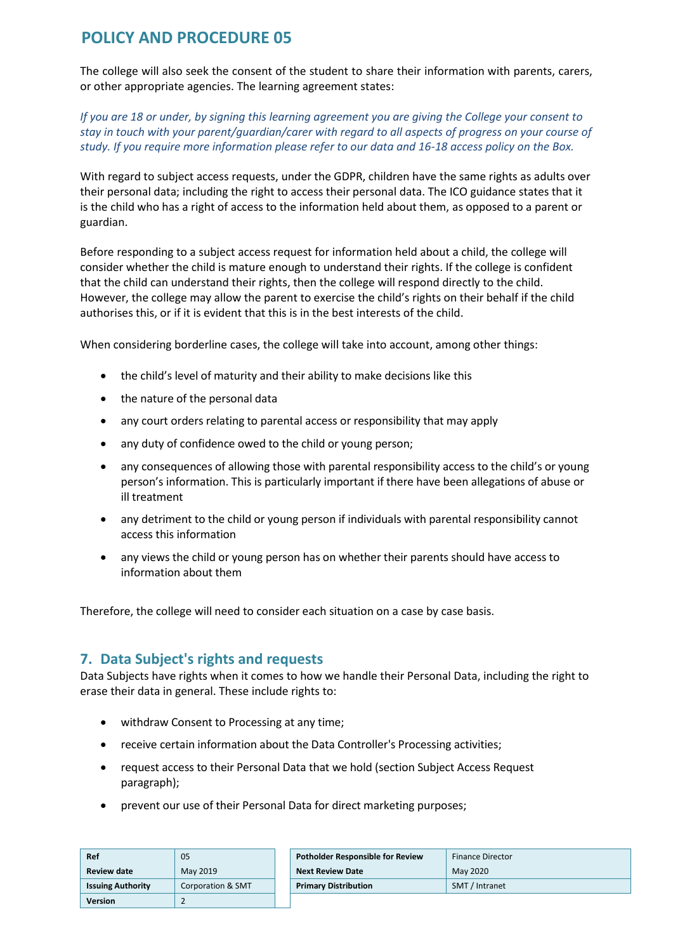The college will also seek the consent of the student to share their information with parents, carers, or other appropriate agencies. The learning agreement states:

*If you are 18 or under, by signing this learning agreement you are giving the College your consent to stay in touch with your parent/guardian/carer with regard to all aspects of progress on your course of study. If you require more information please refer to our data and 16-18 access policy on the Box.* 

With regard to subject access requests, under the GDPR, children have the same rights as adults over their personal data; including the right to access their personal data. The ICO guidance states that it is the child who has a right of access to the information held about them, as opposed to a parent or guardian.

Before responding to a subject access request for information held about a child, the college will consider whether the child is mature enough to understand their rights. If the college is confident that the child can understand their rights, then the college will respond directly to the child. However, the college may allow the parent to exercise the child's rights on their behalf if the child authorises this, or if it is evident that this is in the best interests of the child.

When considering borderline cases, the college will take into account, among other things:

- the child's level of maturity and their ability to make decisions like this
- the nature of the personal data
- any court orders relating to parental access or responsibility that may apply
- any duty of confidence owed to the child or young person;
- any consequences of allowing those with parental responsibility access to the child's or young person's information. This is particularly important if there have been allegations of abuse or ill treatment
- any detriment to the child or young person if individuals with parental responsibility cannot access this information
- any views the child or young person has on whether their parents should have access to information about them

Therefore, the college will need to consider each situation on a case by case basis.

#### **7. Data Subject's rights and requests**

Data Subjects have rights when it comes to how we handle their Personal Data, including the right to erase their data in general. These include rights to:

- withdraw Consent to Processing at any time;
- receive certain information about the Data Controller's Processing activities;
- request access to their Personal Data that we hold (section Subject Access Request paragraph);
- prevent our use of their Personal Data for direct marketing purposes;

| Ref                      | 05                | <b>Potholder Responsible for Review</b> | <b>Finance Director</b> |
|--------------------------|-------------------|-----------------------------------------|-------------------------|
| Review date              | May 2019          | <b>Next Review Date</b>                 | May 2020                |
| <b>Issuing Authority</b> | Corporation & SMT | <b>Primary Distribution</b>             | SMT / Intranet          |
| Version                  |                   |                                         |                         |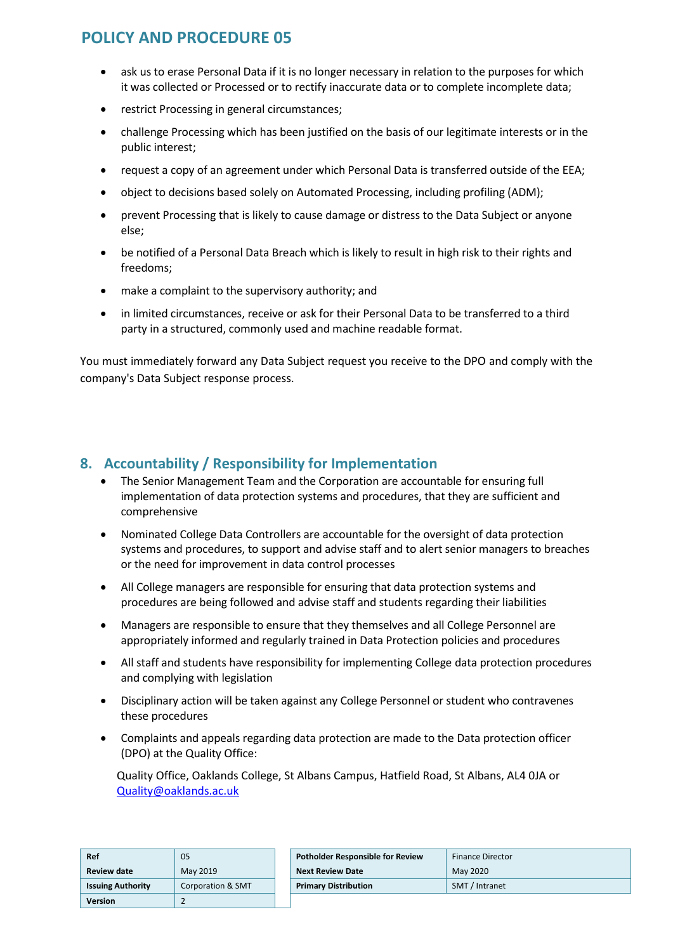- ask us to erase Personal Data if it is no longer necessary in relation to the purposes for which it was collected or Processed or to rectify inaccurate data or to complete incomplete data;
- restrict Processing in general circumstances;
- challenge Processing which has been justified on the basis of our legitimate interests or in the public interest;
- request a copy of an agreement under which Personal Data is transferred outside of the EEA;
- object to decisions based solely on Automated Processing, including profiling (ADM);
- prevent Processing that is likely to cause damage or distress to the Data Subject or anyone else;
- be notified of a Personal Data Breach which is likely to result in high risk to their rights and freedoms;
- make a complaint to the supervisory authority; and
- in limited circumstances, receive or ask for their Personal Data to be transferred to a third party in a structured, commonly used and machine readable format.

You must immediately forward any Data Subject request you receive to the DPO and comply with the company's Data Subject response process.

### **8. Accountability / Responsibility for Implementation**

- The Senior Management Team and the Corporation are accountable for ensuring full implementation of data protection systems and procedures, that they are sufficient and comprehensive
- Nominated College Data Controllers are accountable for the oversight of data protection systems and procedures, to support and advise staff and to alert senior managers to breaches or the need for improvement in data control processes
- All College managers are responsible for ensuring that data protection systems and procedures are being followed and advise staff and students regarding their liabilities
- Managers are responsible to ensure that they themselves and all College Personnel are appropriately informed and regularly trained in Data Protection policies and procedures
- All staff and students have responsibility for implementing College data protection procedures and complying with legislation
- Disciplinary action will be taken against any College Personnel or student who contravenes these procedures
- Complaints and appeals regarding data protection are made to the Data protection officer (DPO) at the Quality Office:

 Quality Office, Oaklands College, St Albans Campus, Hatfield Road, St Albans, AL4 0JA or [Quality@oaklands.ac.uk](mailto:Quality@oaklands.ac.uk)

| Ref                      | 05                           |
|--------------------------|------------------------------|
| <b>Review date</b>       | May 2019                     |
| <b>Issuing Authority</b> | <b>Corporation &amp; SMT</b> |
| Version                  |                              |

| Ref                      | 05                | <b>Potholder Responsible for Review</b> | <b>Finance Director</b> |
|--------------------------|-------------------|-----------------------------------------|-------------------------|
| Review date              | May 2019          | <b>Next Review Date</b>                 | May 2020                |
| <b>Issuing Authority</b> | Corporation & SMT | <b>Primary Distribution</b>             | SMT / Intranet          |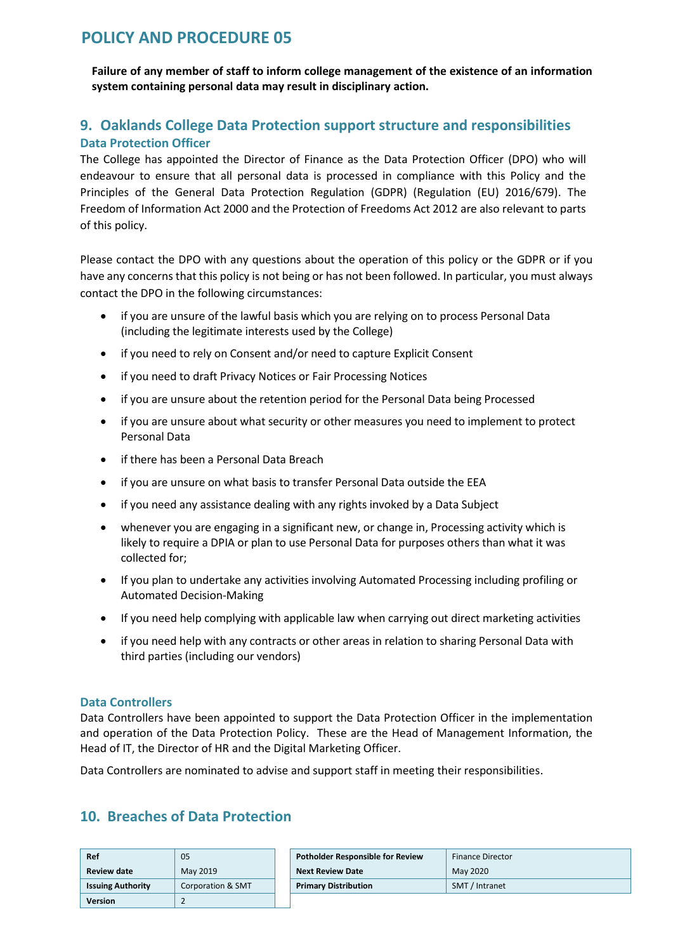**Failure of any member of staff to inform college management of the existence of an information system containing personal data may result in disciplinary action.** 

### **9. Oaklands College Data Protection support structure and responsibilities Data Protection Officer**

The College has appointed the Director of Finance as the Data Protection Officer (DPO) who will endeavour to ensure that all personal data is processed in compliance with this Policy and the Principles of the General Data Protection Regulation (GDPR) (Regulation (EU) 2016/679). The Freedom of Information Act 2000 and the Protection of Freedoms Act 2012 are also relevant to parts of this policy.

Please contact the DPO with any questions about the operation of this policy or the GDPR or if you have any concerns that this policy is not being or has not been followed. In particular, you must always contact the DPO in the following circumstances:

- if you are unsure of the lawful basis which you are relying on to process Personal Data (including the legitimate interests used by the College)
- if you need to rely on Consent and/or need to capture Explicit Consent
- if you need to draft Privacy Notices or Fair Processing Notices
- if you are unsure about the retention period for the Personal Data being Processed
- if you are unsure about what security or other measures you need to implement to protect Personal Data
- if there has been a Personal Data Breach
- if you are unsure on what basis to transfer Personal Data outside the EEA
- if you need any assistance dealing with any rights invoked by a Data Subject
- whenever you are engaging in a significant new, or change in, Processing activity which is likely to require a DPIA or plan to use Personal Data for purposes others than what it was collected for;
- If you plan to undertake any activities involving Automated Processing including profiling or Automated Decision-Making
- If you need help complying with applicable law when carrying out direct marketing activities
- if you need help with any contracts or other areas in relation to sharing Personal Data with third parties (including our vendors)

#### **Data Controllers**

Data Controllers have been appointed to support the Data Protection Officer in the implementation and operation of the Data Protection Policy. These are the Head of Management Information, the Head of IT, the Director of HR and the Digital Marketing Officer.

Data Controllers are nominated to advise and support staff in meeting their responsibilities.

### **10. Breaches of Data Protection**

| Ref                      | 05                | Potholder Responsible for Review | <b>Finance Director</b> |
|--------------------------|-------------------|----------------------------------|-------------------------|
| Review date              | May 2019          | <b>Next Review Date</b>          | May 2020                |
| <b>Issuing Authority</b> | Corporation & SMT | <b>Primary Distribution</b>      | SMT / Intranet          |
| <b>Version</b>           |                   |                                  |                         |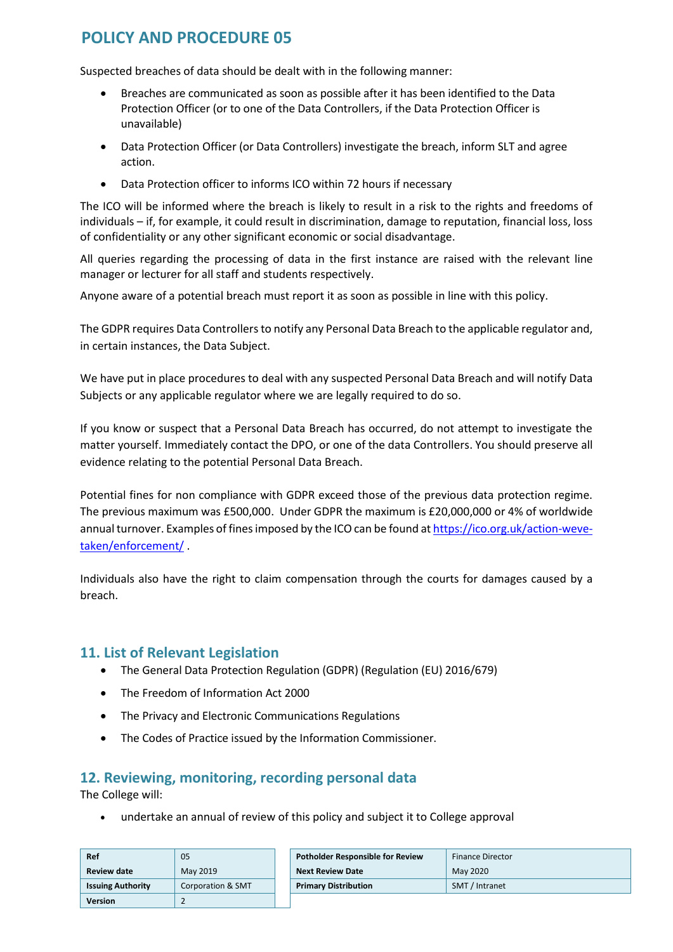Suspected breaches of data should be dealt with in the following manner:

- Breaches are communicated as soon as possible after it has been identified to the Data Protection Officer (or to one of the Data Controllers, if the Data Protection Officer is unavailable)
- Data Protection Officer (or Data Controllers) investigate the breach, inform SLT and agree action.
- Data Protection officer to informs ICO within 72 hours if necessary

The ICO will be informed where the breach is likely to result in a risk to the rights and freedoms of individuals – if, for example, it could result in discrimination, damage to reputation, financial loss, loss of confidentiality or any other significant economic or social disadvantage.

All queries regarding the processing of data in the first instance are raised with the relevant line manager or lecturer for all staff and students respectively.

Anyone aware of a potential breach must report it as soon as possible in line with this policy.

The GDPR requires Data Controllers to notify any Personal Data Breach to the applicable regulator and, in certain instances, the Data Subject.

We have put in place procedures to deal with any suspected Personal Data Breach and will notify Data Subjects or any applicable regulator where we are legally required to do so.

If you know or suspect that a Personal Data Breach has occurred, do not attempt to investigate the matter yourself. Immediately contact the DPO, or one of the data Controllers. You should preserve all evidence relating to the potential Personal Data Breach.

Potential fines for non compliance with GDPR exceed those of the previous data protection regime. The previous maximum was £500,000. Under GDPR the maximum is £20,000,000 or 4% of worldwide annual turnover. Examples of fines imposed by the ICO can be found a[t https://ico.org.uk/action-weve](https://ico.org.uk/action-weve-taken/enforcement/)[taken/enforcement/](https://ico.org.uk/action-weve-taken/enforcement/) .

Individuals also have the right to claim compensation through the courts for damages caused by a breach.

#### **11. List of Relevant Legislation**

- The General Data Protection Regulation (GDPR) (Regulation (EU) 2016/679)
- The Freedom of Information Act 2000
- The Privacy and Electronic Communications Regulations
- The Codes of Practice issued by the Information Commissioner.

### **12. Reviewing, monitoring, recording personal data**

The College will:

undertake an annual of review of this policy and subject it to College approval

| Ref                      | 05                | <b>Potholder Responsible for Review</b> | <b>Finance Director</b> |
|--------------------------|-------------------|-----------------------------------------|-------------------------|
| <b>Review date</b>       | May 2019          | <b>Next Review Date</b>                 | May 2020                |
| <b>Issuing Authority</b> | Corporation & SMT | <b>Primary Distribution</b>             | SMT / Intranet          |
| <b>Version</b>           |                   |                                         |                         |